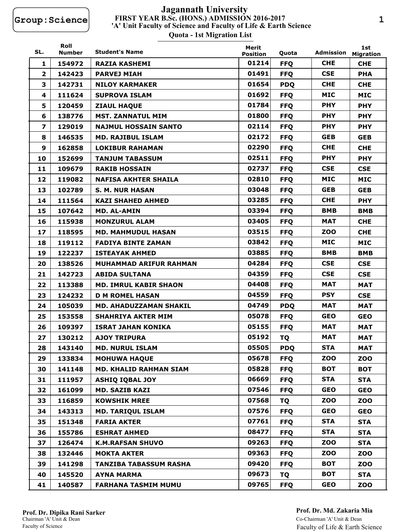## **FIRST YEAR B.Sc. (HONS.) ADMISSION 2016-2017 Quota - 1st Migration List 'A' Unit Faculty of Science and Faculty of Life & Earth Science Jagannath University**

| SL.                     | Roll<br><b>Number</b> | <b>Student's Name</b>         | Merit<br><b>Position</b> | Quota      | Admission  | 1st<br><b>Migration</b> |
|-------------------------|-----------------------|-------------------------------|--------------------------|------------|------------|-------------------------|
| $\mathbf{1}$            | 154972                | <b>RAZIA KASHEMI</b>          | 01214                    | <b>FFQ</b> | <b>CHE</b> | <b>CHE</b>              |
| $\mathbf{2}$            | 142423                | <b>PARVEJ MIAH</b>            | 01491                    | <b>FFQ</b> | <b>CSE</b> | <b>PHA</b>              |
| 3                       | 142731                | <b>NILOY KARMAKER</b>         | 01654                    | <b>PDQ</b> | <b>CHE</b> | <b>CHE</b>              |
| 4                       | 111624                | <b>SUPROVA ISLAM</b>          | 01692                    | <b>FFQ</b> | <b>MIC</b> | <b>MIC</b>              |
| 5                       | 120459                | <b>ZIAUL HAQUE</b>            | 01784                    | <b>FFQ</b> | <b>PHY</b> | <b>PHY</b>              |
| 6                       | 138776                | <b>MST. ZANNATUL MIM</b>      | 01800                    | <b>FFQ</b> | <b>PHY</b> | <b>PHY</b>              |
| $\overline{\mathbf{z}}$ | 129019                | <b>NAJMUL HOSSAIN SANTO</b>   | 02114                    | <b>FFQ</b> | <b>PHY</b> | <b>PHY</b>              |
| 8                       | 146535                | <b>MD. RAJIBUL ISLAM</b>      | 02172                    | <b>FFQ</b> | <b>GEB</b> | <b>GEB</b>              |
| 9                       | 162858                | <b>LOKIBUR RAHAMAN</b>        | 02290                    | <b>FFQ</b> | <b>CHE</b> | <b>CHE</b>              |
| 10                      | 152699                | <b>TANJUM TABASSUM</b>        | 02511                    | <b>FFQ</b> | <b>PHY</b> | <b>PHY</b>              |
| 11                      | 109679                | <b>RAKIB HOSSAIN</b>          | 02737                    | <b>FFQ</b> | <b>CSE</b> | <b>CSE</b>              |
| 12                      | 119082                | <b>NAFISA AKHTER SHAILA</b>   | 02810                    | <b>FFQ</b> | <b>MIC</b> | <b>MIC</b>              |
| 13                      | 102789                | <b>S. M. NUR HASAN</b>        | 03048                    | <b>FFQ</b> | <b>GEB</b> | <b>GEB</b>              |
| 14                      | 111564                | <b>KAZI SHAHED AHMED</b>      | 03285                    | <b>FFQ</b> | <b>CHE</b> | <b>PHY</b>              |
| 15                      | 107642                | <b>MD. AL-AMIN</b>            | 03394                    | <b>FFQ</b> | BMB        | <b>BMB</b>              |
| 16                      | 115938                | <b>MONZURUL ALAM</b>          | 03405                    | <b>FFQ</b> | <b>MAT</b> | <b>CHE</b>              |
| 17                      | 118595                | <b>MD. MAHMUDUL HASAN</b>     | 03515                    | <b>FFQ</b> | <b>ZOO</b> | <b>CHE</b>              |
| 18                      | 119112                | <b>FADIYA BINTE ZAMAN</b>     | 03842                    | <b>FFQ</b> | <b>MIC</b> | <b>MIC</b>              |
| 19                      | 122237                | <b>ISTEAYAK AHMED</b>         | 03885                    | <b>FFQ</b> | <b>BMB</b> | <b>BMB</b>              |
| 20                      | 138526                | <b>MUHAMMAD ARIFUR RAHMAN</b> | 04284                    | <b>FFQ</b> | <b>CSE</b> | <b>CSE</b>              |
| 21                      | 142723                | <b>ABIDA SULTANA</b>          | 04359                    | <b>FFQ</b> | <b>CSE</b> | <b>CSE</b>              |
| 22                      | 113388                | <b>MD. IMRUL KABIR SHAON</b>  | 04408                    | <b>FFQ</b> | <b>MAT</b> | <b>MAT</b>              |
| 23                      | 124232                | <b>D M ROMEL HASAN</b>        | 04559                    | <b>FFQ</b> | <b>PSY</b> | <b>CSE</b>              |
| 24                      | 105039                | <b>MD. AHADUZZAMAN SHAKIL</b> | 04749                    | <b>PDQ</b> | <b>MAT</b> | <b>MAT</b>              |
| 25                      | 153558                | <b>SHAHRIYA AKTER MIM</b>     | 05078                    | <b>FFQ</b> | <b>GEO</b> | <b>GEO</b>              |
| 26                      | 109397                | <b>ISRAT JAHAN KONIKA</b>     | 05155                    | <b>FFQ</b> | <b>MAT</b> | <b>MAT</b>              |
| 27                      | 130212                | <b>AJOY TRIPURA</b>           | 05192                    | <b>TQ</b>  | MAT        | <b>MAT</b>              |
| 28                      | 143140                | <b>MD. NURUL ISLAM</b>        | 05505                    | <b>PDQ</b> | <b>STA</b> | MAT                     |
| 29                      | 133834                | <b>MOHUWA HAQUE</b>           | 05678                    | <b>FFQ</b> | <b>ZOO</b> | ZOO                     |
| 30                      | 141148                | <b>MD. KHALID RAHMAN SIAM</b> | 05828                    | <b>FFQ</b> | <b>BOT</b> | <b>BOT</b>              |
| 31                      | 111957                | <b>ASHIQ IQBAL JOY</b>        | 06669                    | <b>FFQ</b> | <b>STA</b> | <b>STA</b>              |
| 32                      | 161099                | <b>MD. SAZIB KAZI</b>         | 07546                    | <b>FFQ</b> | <b>GEO</b> | <b>GEO</b>              |
| 33                      | 116859                | <b>KOWSHIK MREE</b>           | 07568                    | TQ         | <b>ZOO</b> | ZOO                     |
| 34                      | 143313                | <b>MD. TARIQUL ISLAM</b>      | 07576                    | <b>FFQ</b> | <b>GEO</b> | <b>GEO</b>              |
| 35                      | 151348                | <b>FARIA AKTER</b>            | 07761                    | <b>FFQ</b> | <b>STA</b> | <b>STA</b>              |
| 36                      | 155786                | <b>ESHRAT AHMED</b>           | 08477                    | <b>FFQ</b> | <b>STA</b> | <b>STA</b>              |
| 37                      | 126474                | <b>K.M.RAFSAN SHUVO</b>       | 09263                    | <b>FFQ</b> | <b>ZOO</b> | <b>STA</b>              |
| 38                      | 132446                | <b>MOKTA AKTER</b>            | 09363                    | <b>FFQ</b> | <b>ZOO</b> | ZOO                     |
| 39                      | 141298                | <b>TANZIBA TABASSUM RASHA</b> | 09420                    | <b>FFQ</b> | <b>BOT</b> | <b>ZOO</b>              |
| 40                      | 145520                | <b>AYNA MARMA</b>             | 09673                    | TQ         | <b>BOT</b> | <b>STA</b>              |
| 41                      | 140587                | <b>FARHANA TASMIM MUMU</b>    | 09765                    | <b>FFQ</b> | <b>GEO</b> | ZOO                     |